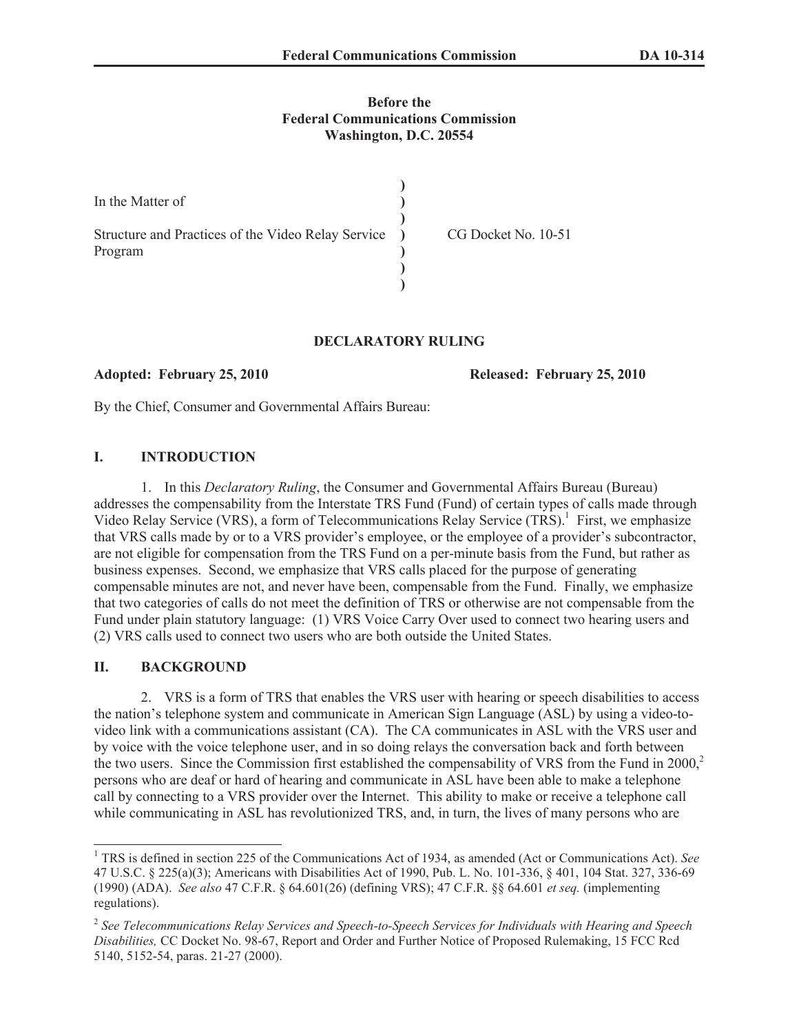## **Before the Federal Communications Commission Washington, D.C. 20554**

| In the Matter of                                                |                     |
|-----------------------------------------------------------------|---------------------|
| Structure and Practices of the Video Relay Service )<br>Program | CG Docket No. 10-51 |
|                                                                 |                     |

## **DECLARATORY RULING**

**Adopted: February 25, 2010 Released: February 25, 2010**

By the Chief, Consumer and Governmental Affairs Bureau:

# **I. INTRODUCTION**

1. In this *Declaratory Ruling*, the Consumer and Governmental Affairs Bureau (Bureau) addresses the compensability from the Interstate TRS Fund (Fund) of certain types of calls made through Video Relay Service (VRS), a form of Telecommunications Relay Service (TRS).<sup>1</sup> First, we emphasize that VRS calls made by or to a VRS provider's employee, or the employee of a provider's subcontractor, are not eligible for compensation from the TRS Fund on a per-minute basis from the Fund, but rather as business expenses. Second, we emphasize that VRS calls placed for the purpose of generating compensable minutes are not, and never have been, compensable from the Fund. Finally, we emphasize that two categories of calls do not meet the definition of TRS or otherwise are not compensable from the Fund under plain statutory language: (1) VRS Voice Carry Over used to connect two hearing users and (2) VRS calls used to connect two users who are both outside the United States.

# **II. BACKGROUND**

2. VRS is a form of TRS that enables the VRS user with hearing or speech disabilities to access the nation's telephone system and communicate in American Sign Language (ASL) by using a video-tovideo link with a communications assistant (CA). The CA communicates in ASL with the VRS user and by voice with the voice telephone user, and in so doing relays the conversation back and forth between the two users. Since the Commission first established the compensability of VRS from the Fund in  $2000<sup>2</sup>$ persons who are deaf or hard of hearing and communicate in ASL have been able to make a telephone call by connecting to a VRS provider over the Internet. This ability to make or receive a telephone call while communicating in ASL has revolutionized TRS, and, in turn, the lives of many persons who are

<sup>1</sup> TRS is defined in section 225 of the Communications Act of 1934, as amended (Act or Communications Act). *See* 47 U.S.C. § 225(a)(3); Americans with Disabilities Act of 1990, Pub. L. No. 101-336, § 401, 104 Stat. 327, 336-69 (1990) (ADA). *See also* 47 C.F.R. § 64.601(26) (defining VRS); 47 C.F.R. §§ 64.601 *et seq.* (implementing regulations).

<sup>2</sup> *See Telecommunications Relay Services and Speech-to-Speech Services for Individuals with Hearing and Speech Disabilities,* CC Docket No. 98-67, Report and Order and Further Notice of Proposed Rulemaking, 15 FCC Rcd 5140, 5152-54, paras. 21-27 (2000).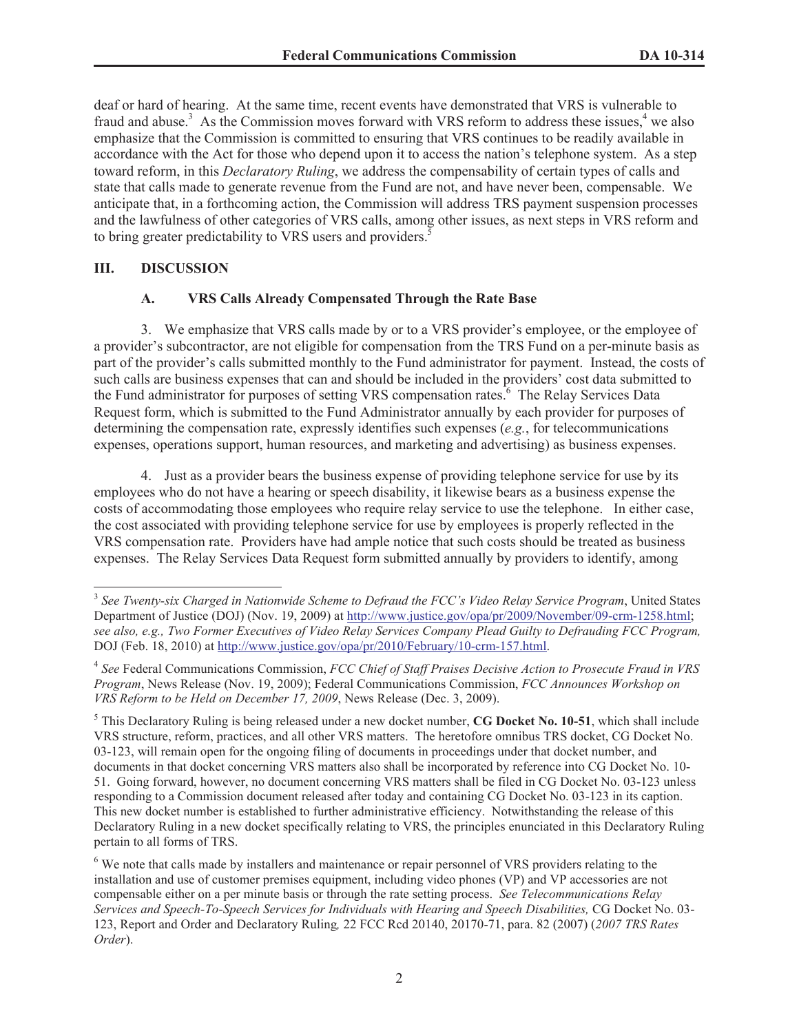deaf or hard of hearing. At the same time, recent events have demonstrated that VRS is vulnerable to fraud and abuse.<sup>3</sup> As the Commission moves forward with VRS reform to address these issues,<sup>4</sup> we also emphasize that the Commission is committed to ensuring that VRS continues to be readily available in accordance with the Act for those who depend upon it to access the nation's telephone system. As a step toward reform, in this *Declaratory Ruling*, we address the compensability of certain types of calls and state that calls made to generate revenue from the Fund are not, and have never been, compensable. We anticipate that, in a forthcoming action, the Commission will address TRS payment suspension processes and the lawfulness of other categories of VRS calls, among other issues, as next steps in VRS reform and to bring greater predictability to VRS users and providers.<sup>5</sup>

#### **III. DISCUSSION**

### **A. VRS Calls Already Compensated Through the Rate Base**

3. We emphasize that VRS calls made by or to a VRS provider's employee, or the employee of a provider's subcontractor, are not eligible for compensation from the TRS Fund on a per-minute basis as part of the provider's calls submitted monthly to the Fund administrator for payment. Instead, the costs of such calls are business expenses that can and should be included in the providers' cost data submitted to the Fund administrator for purposes of setting VRS compensation rates.<sup>6</sup> The Relay Services Data Request form, which is submitted to the Fund Administrator annually by each provider for purposes of determining the compensation rate, expressly identifies such expenses (*e.g.*, for telecommunications expenses, operations support, human resources, and marketing and advertising) as business expenses.

4. Just as a provider bears the business expense of providing telephone service for use by its employees who do not have a hearing or speech disability, it likewise bears as a business expense the costs of accommodating those employees who require relay service to use the telephone. In either case, the cost associated with providing telephone service for use by employees is properly reflected in the VRS compensation rate. Providers have had ample notice that such costs should be treated as business expenses. The Relay Services Data Request form submitted annually by providers to identify, among

<sup>3</sup> *See Twenty-six Charged in Nationwide Scheme to Defraud the FCC's Video Relay Service Program*, United States Department of Justice (DOJ) (Nov. 19, 2009) at http://www.justice.gov/opa/pr/2009/November/09-crm-1258.html; *see also, e.g., Two Former Executives of Video Relay Services Company Plead Guilty to Defrauding FCC Program,*  DOJ (Feb. 18, 2010) at http://www.justice.gov/opa/pr/2010/February/10-crm-157.html.

<sup>4</sup> *See* Federal Communications Commission, *FCC Chief of Staff Praises Decisive Action to Prosecute Fraud in VRS Program*, News Release (Nov. 19, 2009); Federal Communications Commission, *FCC Announces Workshop on VRS Reform to be Held on December 17, 2009*, News Release (Dec. 3, 2009).

<sup>5</sup> This Declaratory Ruling is being released under a new docket number, **CG Docket No. 10-51**, which shall include VRS structure, reform, practices, and all other VRS matters. The heretofore omnibus TRS docket, CG Docket No. 03-123, will remain open for the ongoing filing of documents in proceedings under that docket number, and documents in that docket concerning VRS matters also shall be incorporated by reference into CG Docket No. 10- 51. Going forward, however, no document concerning VRS matters shall be filed in CG Docket No. 03-123 unless responding to a Commission document released after today and containing CG Docket No. 03-123 in its caption. This new docket number is established to further administrative efficiency. Notwithstanding the release of this Declaratory Ruling in a new docket specifically relating to VRS, the principles enunciated in this Declaratory Ruling pertain to all forms of TRS.

<sup>&</sup>lt;sup>6</sup> We note that calls made by installers and maintenance or repair personnel of VRS providers relating to the installation and use of customer premises equipment, including video phones (VP) and VP accessories are not compensable either on a per minute basis or through the rate setting process. *See Telecommunications Relay Services and Speech-To-Speech Services for Individuals with Hearing and Speech Disabilities,* CG Docket No. 03- 123, Report and Order and Declaratory Ruling*,* 22 FCC Rcd 20140, 20170-71, para. 82 (2007) (*2007 TRS Rates Order*).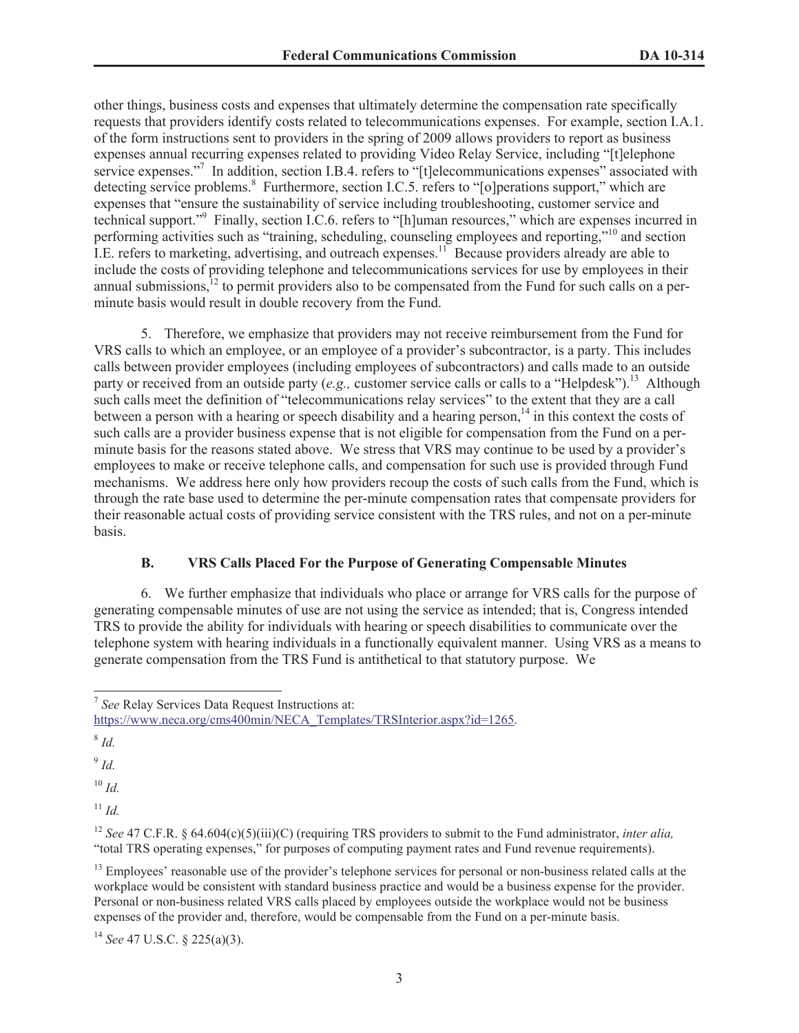other things, business costs and expenses that ultimately determine the compensation rate specifically requests that providers identify costs related to telecommunications expenses. For example, section I.A.1. of the form instructions sent to providers in the spring of 2009 allows providers to report as business expenses annual recurring expenses related to providing Video Relay Service, including "[t]elephone service expenses."<sup>7</sup> In addition, section I.B.4. refers to "[t]elecommunications expenses" associated with detecting service problems.<sup>8</sup> Furthermore, section I.C.5. refers to "[o]perations support," which are expenses that "ensure the sustainability of service including troubleshooting, customer service and technical support."<sup>9</sup> Finally, section I.C.6. refers to "[h]uman resources," which are expenses incurred in performing activities such as "training, scheduling, counseling employees and reporting,"<sup>10</sup> and section I.E. refers to marketing, advertising, and outreach expenses.<sup>11</sup> Because providers already are able to include the costs of providing telephone and telecommunications services for use by employees in their annual submissions, $^{12}$  to permit providers also to be compensated from the Fund for such calls on a perminute basis would result in double recovery from the Fund.

5. Therefore, we emphasize that providers may not receive reimbursement from the Fund for VRS calls to which an employee, or an employee of a provider's subcontractor, is a party. This includes calls between provider employees (including employees of subcontractors) and calls made to an outside party or received from an outside party (*e.g.*, customer service calls or calls to a "Helpdesk").<sup>13</sup> Although such calls meet the definition of "telecommunications relay services" to the extent that they are a call between a person with a hearing or speech disability and a hearing person,<sup>14</sup> in this context the costs of such calls are a provider business expense that is not eligible for compensation from the Fund on a perminute basis for the reasons stated above. We stress that VRS may continue to be used by a provider's employees to make or receive telephone calls, and compensation for such use is provided through Fund mechanisms. We address here only how providers recoup the costs of such calls from the Fund, which is through the rate base used to determine the per-minute compensation rates that compensate providers for their reasonable actual costs of providing service consistent with the TRS rules, and not on a per-minute basis.

# **B. VRS Calls Placed For the Purpose of Generating Compensable Minutes**

6. We further emphasize that individuals who place or arrange for VRS calls for the purpose of generating compensable minutes of use are not using the service as intended; that is, Congress intended TRS to provide the ability for individuals with hearing or speech disabilities to communicate over the telephone system with hearing individuals in a functionally equivalent manner. Using VRS as a means to generate compensation from the TRS Fund is antithetical to that statutory purpose. We

8 *Id.* 

9 *Id.* 

 $10$  *Id.* 

 $11$  *Id.* 

<sup>14</sup> *See* 47 U.S.C. § 225(a)(3).

<sup>7</sup> *See* Relay Services Data Request Instructions at: https://www.neca.org/cms400min/NECA\_Templates/TRSInterior.aspx?id=1265.

<sup>12</sup> *See* 47 C.F.R. § 64.604(c)(5)(iii)(C) (requiring TRS providers to submit to the Fund administrator, *inter alia,* "total TRS operating expenses," for purposes of computing payment rates and Fund revenue requirements).

<sup>&</sup>lt;sup>13</sup> Employees' reasonable use of the provider's telephone services for personal or non-business related calls at the workplace would be consistent with standard business practice and would be a business expense for the provider. Personal or non-business related VRS calls placed by employees outside the workplace would not be business expenses of the provider and, therefore, would be compensable from the Fund on a per-minute basis.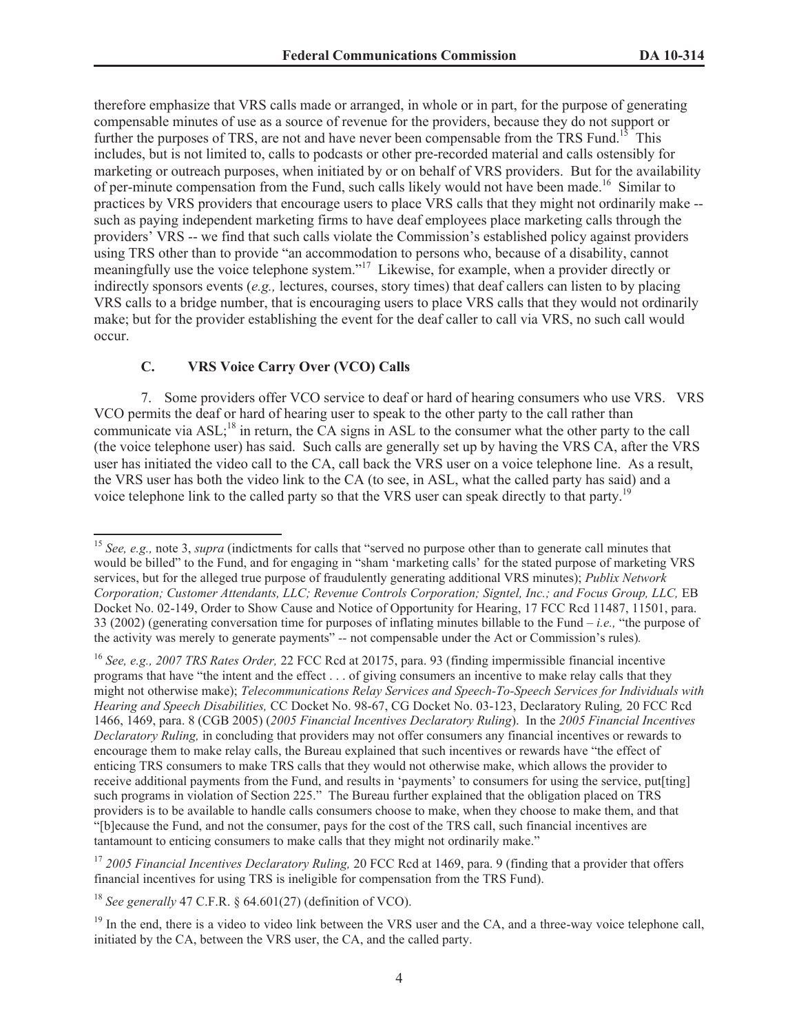therefore emphasize that VRS calls made or arranged, in whole or in part, for the purpose of generating compensable minutes of use as a source of revenue for the providers, because they do not support or further the purposes of TRS, are not and have never been compensable from the TRS Fund.<sup>15</sup> This includes, but is not limited to, calls to podcasts or other pre-recorded material and calls ostensibly for marketing or outreach purposes, when initiated by or on behalf of VRS providers. But for the availability of per-minute compensation from the Fund, such calls likely would not have been made.<sup>16</sup> Similar to practices by VRS providers that encourage users to place VRS calls that they might not ordinarily make - such as paying independent marketing firms to have deaf employees place marketing calls through the providers' VRS -- we find that such calls violate the Commission's established policy against providers using TRS other than to provide "an accommodation to persons who, because of a disability, cannot meaningfully use the voice telephone system."<sup>17</sup> Likewise, for example, when a provider directly or indirectly sponsors events (*e.g.,* lectures, courses, story times) that deaf callers can listen to by placing VRS calls to a bridge number, that is encouraging users to place VRS calls that they would not ordinarily make; but for the provider establishing the event for the deaf caller to call via VRS, no such call would occur.

# **C. VRS Voice Carry Over (VCO) Calls**

7. Some providers offer VCO service to deaf or hard of hearing consumers who use VRS. VRS VCO permits the deaf or hard of hearing user to speak to the other party to the call rather than communicate via  $ASL$ ;<sup>18</sup> in return, the CA signs in ASL to the consumer what the other party to the call (the voice telephone user) has said. Such calls are generally set up by having the VRS CA, after the VRS user has initiated the video call to the CA, call back the VRS user on a voice telephone line. As a result, the VRS user has both the video link to the CA (to see, in ASL, what the called party has said) and a voice telephone link to the called party so that the VRS user can speak directly to that party.<sup>19</sup>

<sup>17</sup> *2005 Financial Incentives Declaratory Ruling,* 20 FCC Rcd at 1469, para. 9 (finding that a provider that offers financial incentives for using TRS is ineligible for compensation from the TRS Fund).

<sup>18</sup> *See generally* 47 C.F.R. § 64.601(27) (definition of VCO).

<sup>&</sup>lt;sup>15</sup> *See, e.g., note 3, supra* (indictments for calls that "served no purpose other than to generate call minutes that would be billed" to the Fund, and for engaging in "sham 'marketing calls' for the stated purpose of marketing VRS services, but for the alleged true purpose of fraudulently generating additional VRS minutes); *Publix Network Corporation; Customer Attendants, LLC; Revenue Controls Corporation; Signtel, Inc.; and Focus Group, LLC,* EB Docket No. 02-149, Order to Show Cause and Notice of Opportunity for Hearing, 17 FCC Rcd 11487, 11501, para. 33 (2002) (generating conversation time for purposes of inflating minutes billable to the Fund – *i.e.,* "the purpose of the activity was merely to generate payments" *--* not compensable under the Act or Commission's rules)*.*

<sup>16</sup> *See, e.g., 2007 TRS Rates Order,* 22 FCC Rcd at 20175, para. 93 (finding impermissible financial incentive programs that have "the intent and the effect . . . of giving consumers an incentive to make relay calls that they might not otherwise make); *Telecommunications Relay Services and Speech-To-Speech Services for Individuals with Hearing and Speech Disabilities,* CC Docket No. 98-67, CG Docket No. 03-123, Declaratory Ruling*,* 20 FCC Rcd 1466, 1469, para. 8 (CGB 2005) (*2005 Financial Incentives Declaratory Ruling*). In the *2005 Financial Incentives Declaratory Ruling,* in concluding that providers may not offer consumers any financial incentives or rewards to encourage them to make relay calls, the Bureau explained that such incentives or rewards have "the effect of enticing TRS consumers to make TRS calls that they would not otherwise make, which allows the provider to receive additional payments from the Fund, and results in 'payments' to consumers for using the service, put[ting] such programs in violation of Section 225." The Bureau further explained that the obligation placed on TRS providers is to be available to handle calls consumers choose to make, when they choose to make them, and that "[b]ecause the Fund, and not the consumer, pays for the cost of the TRS call, such financial incentives are tantamount to enticing consumers to make calls that they might not ordinarily make."

 $19$  In the end, there is a video to video link between the VRS user and the CA, and a three-way voice telephone call, initiated by the CA, between the VRS user, the CA, and the called party.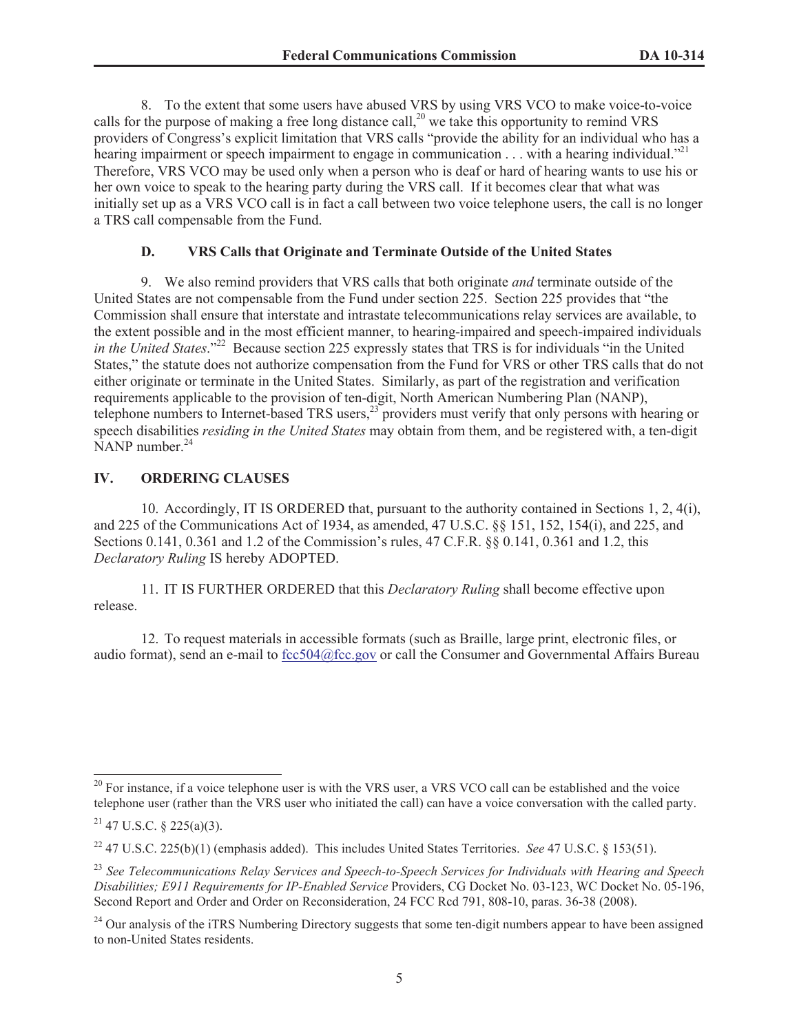8. To the extent that some users have abused VRS by using VRS VCO to make voice-to-voice calls for the purpose of making a free long distance call,<sup>20</sup> we take this opportunity to remind VRS providers of Congress's explicit limitation that VRS calls "provide the ability for an individual who has a hearing impairment or speech impairment to engage in communication . . . with a hearing individual."<sup>21</sup> Therefore, VRS VCO may be used only when a person who is deaf or hard of hearing wants to use his or her own voice to speak to the hearing party during the VRS call. If it becomes clear that what was initially set up as a VRS VCO call is in fact a call between two voice telephone users, the call is no longer a TRS call compensable from the Fund.

#### **D. VRS Calls that Originate and Terminate Outside of the United States**

9. We also remind providers that VRS calls that both originate *and* terminate outside of the United States are not compensable from the Fund under section 225. Section 225 provides that "the Commission shall ensure that interstate and intrastate telecommunications relay services are available, to the extent possible and in the most efficient manner, to hearing-impaired and speech-impaired individuals *in the United States.*"<sup>22</sup> Because section 225 expressly states that TRS is for individuals "in the United States," the statute does not authorize compensation from the Fund for VRS or other TRS calls that do not either originate or terminate in the United States. Similarly, as part of the registration and verification requirements applicable to the provision of ten-digit, North American Numbering Plan (NANP), telephone numbers to Internet-based TRS users,<sup>23</sup> providers must verify that only persons with hearing or speech disabilities *residing in the United States* may obtain from them, and be registered with, a ten-digit  $N$ ANP number.<sup>24</sup>

#### **IV. ORDERING CLAUSES**

10. Accordingly, IT IS ORDERED that, pursuant to the authority contained in Sections 1, 2, 4(i), and 225 of the Communications Act of 1934, as amended, 47 U.S.C. §§ 151, 152, 154(i), and 225, and Sections 0.141, 0.361 and 1.2 of the Commission's rules, 47 C.F.R. §§ 0.141, 0.361 and 1.2, this *Declaratory Ruling* IS hereby ADOPTED.

11. IT IS FURTHER ORDERED that this *Declaratory Ruling* shall become effective upon release.

12. To request materials in accessible formats (such as Braille, large print, electronic files, or audio format), send an e-mail to fcc504@fcc.gov or call the Consumer and Governmental Affairs Bureau

 $20$  For instance, if a voice telephone user is with the VRS user, a VRS VCO call can be established and the voice telephone user (rather than the VRS user who initiated the call) can have a voice conversation with the called party.

 $21$  47 U.S.C. § 225(a)(3).

<sup>22</sup> 47 U.S.C. 225(b)(1) (emphasis added). This includes United States Territories. *See* 47 U.S.C. § 153(51).

<sup>23</sup> *See Telecommunications Relay Services and Speech-to-Speech Services for Individuals with Hearing and Speech Disabilities; E911 Requirements for IP-Enabled Service* Providers, CG Docket No. 03-123, WC Docket No. 05-196, Second Report and Order and Order on Reconsideration, 24 FCC Rcd 791, 808-10, paras. 36-38 (2008).

 $^{24}$  Our analysis of the iTRS Numbering Directory suggests that some ten-digit numbers appear to have been assigned to non-United States residents.